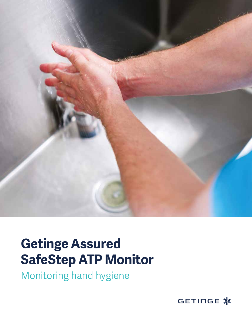

# **Getinge Assured SafeStep ATP Monitor**

Monitoring hand hygiene

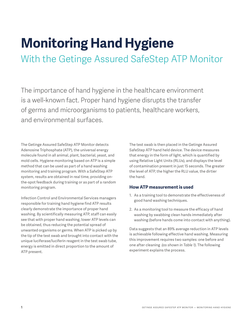# **Monitoring Hand Hygiene**

With the Getinge Assured SafeStep ATP Monitor

The importance of hand hygiene in the healthcare environment is a well-known fact. Proper hand hygiene disrupts the transfer of germs and microorganisms to patients, healthcare workers, and environmental surfaces.

The Getinge Assured SafeStep ATP Monitor detects Adenosine Triphosphate (ATP), the universal energy molecule found in all animal, plant, bacterial, yeast, and mold cells. Hygiene monitoring based on ATP is a simple method that can be used as part of a hand washing monitoring and training program. With a SafeStep ATP system, results are obtained in real time, providing onthe-spot feedback during training or as part of a random monitoring program.

Infection Control and Environmental Services managers responsible for training hand hygiene find ATP results clearly demonstrate the importance of proper hand washing. By scientifically measuring ATP, staff can easily see that with proper hand washing, lower ATP levels can be obtained, thus reducing the potential spread of unwanted organisms or germs. When ATP is picked up by the tip of the test swab and brought into contact with the unique luciferase/luciferin reagent in the test swab tube, energy is emitted in direct proportion to the amount of ATP present.

The test swab is then placed in the Getinge Assured SafeStep ATP hand held device. The device measures that energy in the form of light, which is quantified by using Relative Light Units (RLUs), and displays the level of contamination present in just 15 seconds. The greater the level of ATP, the higher the RLU value, the dirtier the hand.

#### **How ATP measurement is used**

- 1. As a training tool to demonstrate the effectiveness of good hand washing techniques.
- 2. As a monitoring tool to measure the efficacy of hand washing by swabbing clean hands immediately after washing (before hands come into contact with anything).

Data suggests that an 89% average reduction in ATP levels is achievable following effective hand washing. Measuring this improvement requires two samples: one before and one after cleaning *(as shown in Table 1)*. The following experiment explains the process.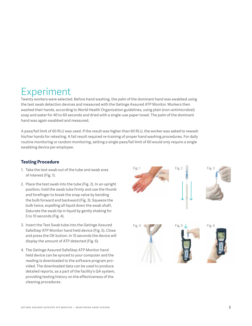## Experiment

Twenty workers were selected. Before hand washing, the palm of the dominant hand was swabbed using the test swab detection devices and measured with the Getinge Assured ATP Monitor. Workers then washed their hands, according to World Health Organization guidelines, using plain (non-antimicrobial) soap and water for 40 to 60 seconds and dried with a single-use paper towel. The palm of the dominant hand was again swabbed and measured.

A pass/fail limit of 60 RLU was used. If the result was higher than 60 RLU, the worker was asked to rewash his/her hands for retesting. A fail result required re-training of proper hand washing procedures. For daily routine monitoring or random monitoring, setting a single pass/fail limit of 60 would only require a single swabbing device per employee.

### **Testing Procedure**

- 1. Take the test swab out of the tube and swab area of interest (Fig. 1).
- 2. Place the test swab into the tube (Fig. 2). In an upright position, hold the swab tube firmly and use the thumb and forefinger to break the snap valve by bending the bulb forward and backward (Fig. 3). Squeeze the bulb twice, expelling all liquid down the swab shaft. Saturate the swab tip in liquid by gently shaking for 5 to 10 seconds (Fig. 4).
- 3. Insert the Test Swab tube into the Getinge Assured SafeStep ATP Monitor hand held device (Fig. 5). Close and press the OK button. In 15 seconds the device will display the amount of ATP detected (Fig. 6).
- 4. The Getinge Assured SafeStep ATP Monitor hand held device can be synced to your computer and the reading is downloaded to the software program provided. The downloaded data can be used to produce detailed reports, as a part of the facility's QA system, providing testing history on the effectiveness of the cleaning procedures.

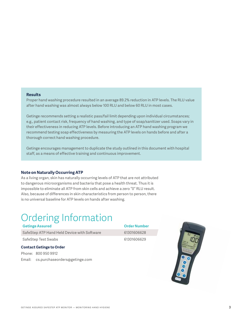#### **Results**

Proper hand washing procedure resulted in an average 89.2% reduction in ATP levels. The RLU value after hand washing was almost always below 100 RLU and below 60 RLU in most cases.

Getinge recommends setting a realistic pass/fail limit depending upon individual circumstances; e.g., patient contact risk, frequency of hand washing, and type of soap/sanitizer used. Soaps vary in their effectiveness in reducing ATP levels. Before introducing an ATP hand washing program we recommend testing soap effectiveness by measuring the ATP levels on hands before and after a thorough correct hand washing procedure.

Getinge encourages management to duplicate the study outlined in this document with hospital staff, as a means of effective training and continuous improvement.

#### **Note on Naturally Occurring ATP**

As a living organ, skin has naturally occurring levels of ATP that are not attributed to dangerous microorganisms and bacteria that pose a health threat. Thus it is impossible to eliminate all ATP from skin cells and achieve a zero "0" RLU result. Also, because of differences in skin characteristics from person to person, there is no universal baseline for ATP levels on hands after washing.

## Ordering Information

|                                 | <b>Getinge Assured</b>                      | <b>Order Number</b> |  |  |  |  |
|---------------------------------|---------------------------------------------|---------------------|--|--|--|--|
|                                 | SafeStep ATP Hand Held Device with Software | 61301606628         |  |  |  |  |
|                                 | SafeStep Test Swabs                         | 61301606629         |  |  |  |  |
| <b>Contact Getinge to Order</b> |                                             |                     |  |  |  |  |
|                                 | Phone: 800 950 9912                         |                     |  |  |  |  |
|                                 | Email: cs.purchaseorders@getinge.com        |                     |  |  |  |  |
|                                 |                                             |                     |  |  |  |  |

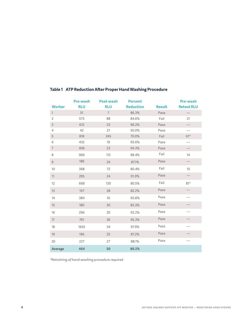|                          | <b>Pre-wash</b> | <b>Post-wash</b> | <b>Percent</b>   |               | <b>Pre-wash</b>   |
|--------------------------|-----------------|------------------|------------------|---------------|-------------------|
| <b>Worker</b>            | <b>RLU</b>      | <b>RLU</b>       | <b>Reduction</b> | <b>Result</b> | <b>Retest RLU</b> |
| $\mathbf{1}$             | 51              | $\overline{7}$   | 86.3%            | Pass          |                   |
| $\overline{2}$           | 573             | 88               | 84.6%            | Fail          | 21                |
| $\sqrt{3}$               | 612             | 23               | 96.2%            | Pass          |                   |
| $\overline{4}$           | 42              | 21               | 50.0%            | Pass          |                   |
| 5                        | 818             | 245              | 70.0%            | Fail          | $61*$             |
| 6                        | 432             | 19               | 95.6%            | Pass          |                   |
| $\overline{\phantom{a}}$ | 406             | 23               | 94.3%            | Pass          |                   |
| 8                        | 966             | 112              | 88.4%            | Fail          | 14                |
| 9                        | 186             | 24               | 87.1%            | Pass          |                   |
| 10                       | 368             | 72               | 80.4%            | Fail          | 15                |
| 11                       | 295             | 24               | 91.9%            | Pass          |                   |
| 12                       | 668             | 130              | 80.5%            | Fail          | $81*$             |
| 13                       | 157             | 28               | 82.2%            | Pass          |                   |
| 14                       | 384             | 16               | 95.8%            | Pass          |                   |
| 15                       | 180             | 30               | 83.3%            | Pass          |                   |
| 16                       | 296             | 20               | 93.2%            | Pass          |                   |
| 17                       | 761             | 36               | 95.3%            | Pass          |                   |
| 18                       | 1655            | 34               | 97.9%            | Pass          |                   |
| 19                       | 196             | 25               | 87.2%            | Pass          |                   |
| 20                       | 227             | 27               | 88.1%            | Pass          |                   |
| <b>Average</b>           | 464             | 50               | 89.2%            |               |                   |

### **Table 1 ATP Reduction After Proper Hand Washing Procedure**

*\*Retraining of hand-washing procedure required*